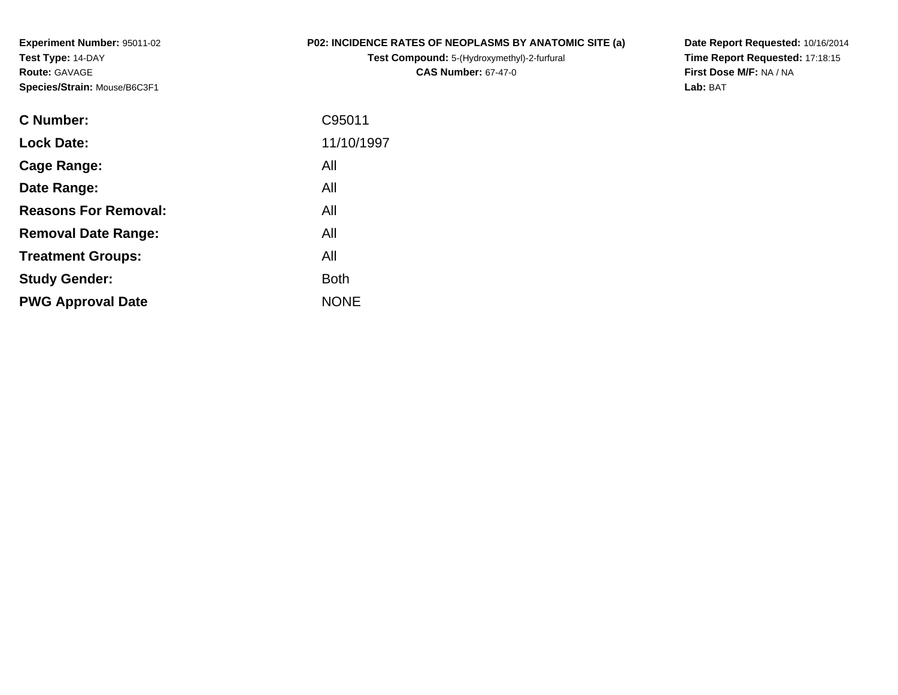**Experiment Number:** 95011-02**Test Type:** 14-DAY**Route:** GAVAGE**Species/Strain:** Mouse/B6C3F1

## **P02: INCIDENCE RATES OF NEOPLASMS BY ANATOMIC SITE (a)**

**Test Compound:** 5-(Hydroxymethyl)-2-furfural **CAS Number:** 67-47-0

**Date Report Requested:** 10/16/2014 **Time Report Requested:** 17:18:15**First Dose M/F:** NA / NA**Lab:** BAT

| C95011      |
|-------------|
| 11/10/1997  |
| All         |
| All         |
| All         |
| All         |
| All         |
| <b>Both</b> |
| <b>NONE</b> |
|             |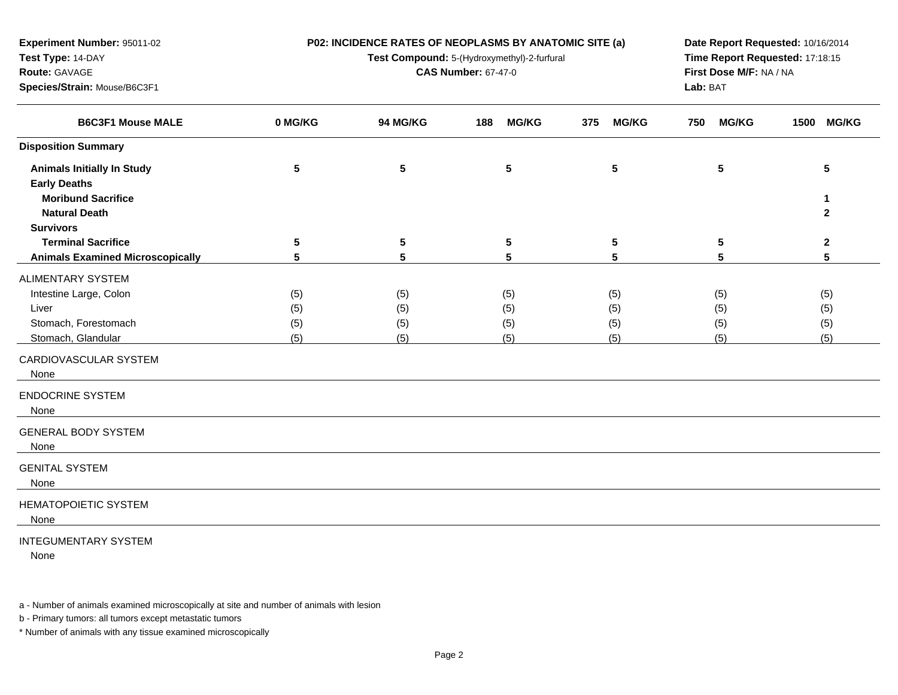| Experiment Number: 95011-02             |           | P02: INCIDENCE RATES OF NEOPLASMS BY ANATOMIC SITE (a) | Date Report Requested: 10/16/2014 |                     |                         |              |  |  |
|-----------------------------------------|-----------|--------------------------------------------------------|-----------------------------------|---------------------|-------------------------|--------------|--|--|
| Test Type: 14-DAY                       |           | Test Compound: 5-(Hydroxymethyl)-2-furfural            | Time Report Requested: 17:18:15   |                     |                         |              |  |  |
| Route: GAVAGE                           |           |                                                        | <b>CAS Number: 67-47-0</b>        |                     | First Dose M/F: NA / NA |              |  |  |
| Species/Strain: Mouse/B6C3F1            |           |                                                        | Lab: BAT                          |                     |                         |              |  |  |
| <b>B6C3F1 Mouse MALE</b>                | 0 MG/KG   | 94 MG/KG                                               | <b>MG/KG</b><br>188               | <b>MG/KG</b><br>375 | <b>MG/KG</b><br>750     | 1500 MG/KG   |  |  |
| <b>Disposition Summary</b>              |           |                                                        |                                   |                     |                         |              |  |  |
| <b>Animals Initially In Study</b>       | ${\bf 5}$ | $\sqrt{5}$                                             | $5\phantom{.0}$                   | 5                   | 5                       | 5            |  |  |
| <b>Early Deaths</b>                     |           |                                                        |                                   |                     |                         |              |  |  |
| <b>Moribund Sacrifice</b>               |           |                                                        |                                   |                     |                         | 1            |  |  |
| <b>Natural Death</b>                    |           |                                                        |                                   |                     |                         | $\mathbf{2}$ |  |  |
| <b>Survivors</b>                        |           |                                                        |                                   |                     |                         |              |  |  |
| <b>Terminal Sacrifice</b>               | 5         | 5                                                      | 5                                 | 5                   | 5                       | $\mathbf{2}$ |  |  |
| <b>Animals Examined Microscopically</b> | 5         | 5                                                      | 5                                 | 5                   | 5                       | 5            |  |  |
| <b>ALIMENTARY SYSTEM</b>                |           |                                                        |                                   |                     |                         |              |  |  |
| Intestine Large, Colon                  | (5)       | (5)                                                    | (5)                               | (5)                 | (5)                     | (5)          |  |  |
| Liver                                   | (5)       | (5)                                                    | (5)                               | (5)                 | (5)                     | (5)          |  |  |
| Stomach, Forestomach                    | (5)       | (5)                                                    | (5)                               | (5)                 | (5)                     | (5)          |  |  |
| Stomach, Glandular                      | (5)       | (5)                                                    | (5)                               | (5)                 | (5)                     | (5)          |  |  |
| CARDIOVASCULAR SYSTEM<br>None           |           |                                                        |                                   |                     |                         |              |  |  |
| <b>ENDOCRINE SYSTEM</b><br>None         |           |                                                        |                                   |                     |                         |              |  |  |
| <b>GENERAL BODY SYSTEM</b><br>None      |           |                                                        |                                   |                     |                         |              |  |  |
| <b>GENITAL SYSTEM</b><br>None           |           |                                                        |                                   |                     |                         |              |  |  |
| <b>HEMATOPOIETIC SYSTEM</b><br>None     |           |                                                        |                                   |                     |                         |              |  |  |
| <b>INTEGUMENTARY SYSTEM</b>             |           |                                                        |                                   |                     |                         |              |  |  |

None

a - Number of animals examined microscopically at site and number of animals with lesion

b - Primary tumors: all tumors except metastatic tumors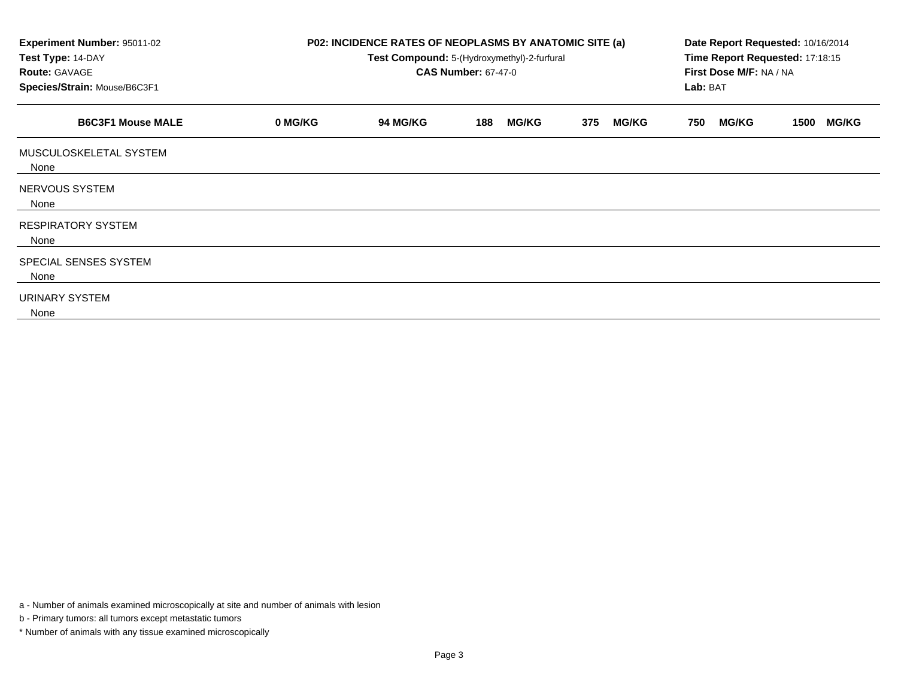| Experiment Number: 95011-02<br>Test Type: 14-DAY<br><b>Route: GAVAGE</b><br>Species/Strain: Mouse/B6C3F1 |         | P02: INCIDENCE RATES OF NEOPLASMS BY ANATOMIC SITE (a)<br>Test Compound: 5-(Hydroxymethyl)-2-furfural<br><b>CAS Number: 67-47-0</b> | Date Report Requested: 10/16/2014<br>Time Report Requested: 17:18:15<br>First Dose M/F: NA / NA<br>Lab: BAT |                     |                     |                      |
|----------------------------------------------------------------------------------------------------------|---------|-------------------------------------------------------------------------------------------------------------------------------------|-------------------------------------------------------------------------------------------------------------|---------------------|---------------------|----------------------|
| <b>B6C3F1 Mouse MALE</b>                                                                                 | 0 MG/KG | <b>94 MG/KG</b>                                                                                                                     | <b>MG/KG</b><br>188                                                                                         | 375<br><b>MG/KG</b> | <b>MG/KG</b><br>750 | <b>MG/KG</b><br>1500 |
| MUSCULOSKELETAL SYSTEM<br>None                                                                           |         |                                                                                                                                     |                                                                                                             |                     |                     |                      |
| <b>NERVOUS SYSTEM</b><br>None                                                                            |         |                                                                                                                                     |                                                                                                             |                     |                     |                      |
| <b>RESPIRATORY SYSTEM</b><br>None                                                                        |         |                                                                                                                                     |                                                                                                             |                     |                     |                      |
| SPECIAL SENSES SYSTEM<br>None                                                                            |         |                                                                                                                                     |                                                                                                             |                     |                     |                      |
| URINARY SYSTEM<br>None                                                                                   |         |                                                                                                                                     |                                                                                                             |                     |                     |                      |

a - Number of animals examined microscopically at site and number of animals with lesion

b - Primary tumors: all tumors except metastatic tumors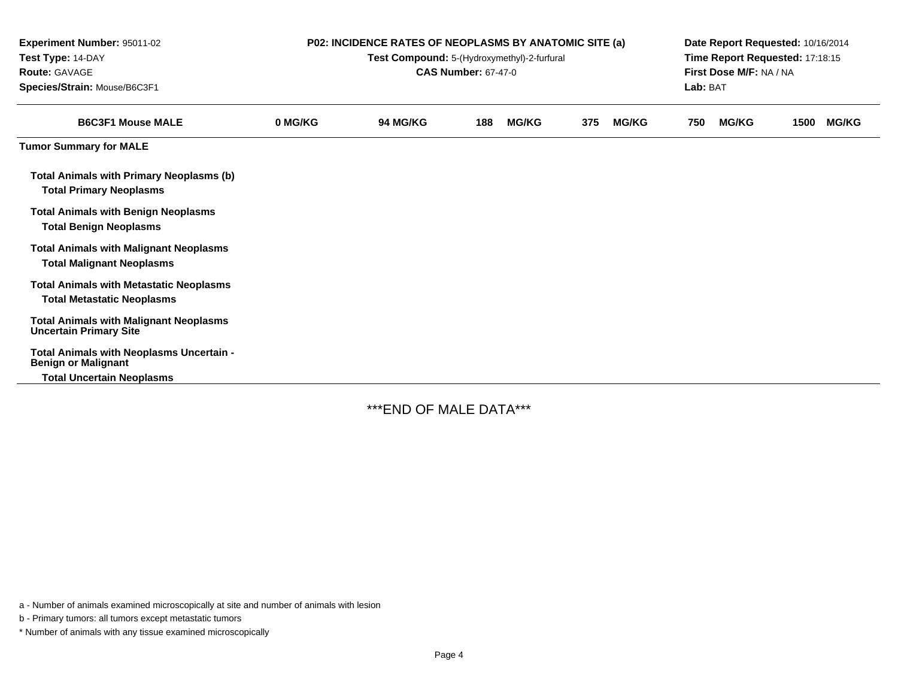| Experiment Number: 95011-02<br>Test Type: 14-DAY<br><b>Route: GAVAGE</b><br>Species/Strain: Mouse/B6C3F1   | <b>P02: INCIDENCE RATES OF NEOPLASMS BY ANATOMIC SITE (a)</b><br>Test Compound: 5-(Hydroxymethyl)-2-furfural<br><b>CAS Number: 67-47-0</b> |          |     |              |     |              |     | Date Report Requested: 10/16/2014<br>Time Report Requested: 17:18:15<br>First Dose M/F: NA / NA<br>Lab: BAT |      |              |  |
|------------------------------------------------------------------------------------------------------------|--------------------------------------------------------------------------------------------------------------------------------------------|----------|-----|--------------|-----|--------------|-----|-------------------------------------------------------------------------------------------------------------|------|--------------|--|
| <b>B6C3F1 Mouse MALE</b>                                                                                   | 0 MG/KG                                                                                                                                    | 94 MG/KG | 188 | <b>MG/KG</b> | 375 | <b>MG/KG</b> | 750 | <b>MG/KG</b>                                                                                                | 1500 | <b>MG/KG</b> |  |
| <b>Tumor Summary for MALE</b>                                                                              |                                                                                                                                            |          |     |              |     |              |     |                                                                                                             |      |              |  |
| <b>Total Animals with Primary Neoplasms (b)</b><br><b>Total Primary Neoplasms</b>                          |                                                                                                                                            |          |     |              |     |              |     |                                                                                                             |      |              |  |
| <b>Total Animals with Benign Neoplasms</b><br><b>Total Benign Neoplasms</b>                                |                                                                                                                                            |          |     |              |     |              |     |                                                                                                             |      |              |  |
| <b>Total Animals with Malignant Neoplasms</b><br><b>Total Malignant Neoplasms</b>                          |                                                                                                                                            |          |     |              |     |              |     |                                                                                                             |      |              |  |
| <b>Total Animals with Metastatic Neoplasms</b><br><b>Total Metastatic Neoplasms</b>                        |                                                                                                                                            |          |     |              |     |              |     |                                                                                                             |      |              |  |
| <b>Total Animals with Malignant Neoplasms</b><br><b>Uncertain Primary Site</b>                             |                                                                                                                                            |          |     |              |     |              |     |                                                                                                             |      |              |  |
| Total Animals with Neoplasms Uncertain -<br><b>Benign or Malignant</b><br><b>Total Uncertain Neoplasms</b> |                                                                                                                                            |          |     |              |     |              |     |                                                                                                             |      |              |  |

\*\*\*END OF MALE DATA\*\*\*

a - Number of animals examined microscopically at site and number of animals with lesion

b - Primary tumors: all tumors except metastatic tumors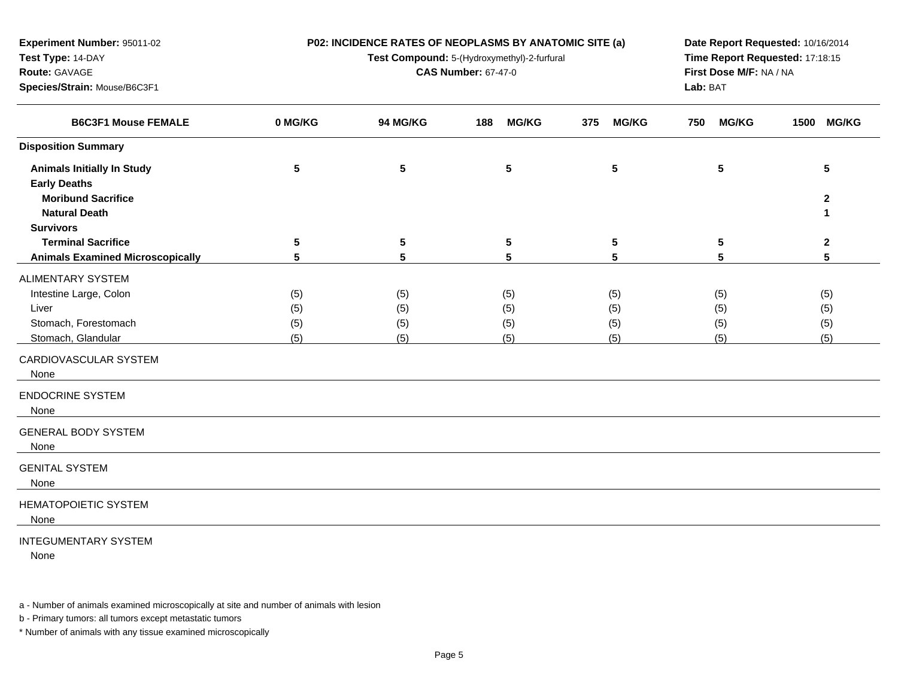| Experiment Number: 95011-02             |                 | P02: INCIDENCE RATES OF NEOPLASMS BY ANATOMIC SITE (a) | Date Report Requested: 10/16/2014   |                     |                     |              |
|-----------------------------------------|-----------------|--------------------------------------------------------|-------------------------------------|---------------------|---------------------|--------------|
| Test Type: 14-DAY                       |                 | Test Compound: 5-(Hydroxymethyl)-2-furfural            | Time Report Requested: 17:18:15     |                     |                     |              |
| Route: GAVAGE                           |                 | <b>CAS Number: 67-47-0</b>                             | First Dose M/F: NA / NA<br>Lab: BAT |                     |                     |              |
| Species/Strain: Mouse/B6C3F1            |                 |                                                        |                                     |                     |                     |              |
| <b>B6C3F1 Mouse FEMALE</b>              | 0 MG/KG         | 94 MG/KG                                               | <b>MG/KG</b><br>188                 | <b>MG/KG</b><br>375 | <b>MG/KG</b><br>750 | 1500 MG/KG   |
| <b>Disposition Summary</b>              |                 |                                                        |                                     |                     |                     |              |
| <b>Animals Initially In Study</b>       | $5\phantom{.0}$ | $\sqrt{5}$                                             | ${\bf 5}$                           | 5                   | 5                   | 5            |
| <b>Early Deaths</b>                     |                 |                                                        |                                     |                     |                     |              |
| <b>Moribund Sacrifice</b>               |                 |                                                        |                                     |                     |                     | $\mathbf{2}$ |
| <b>Natural Death</b>                    |                 |                                                        |                                     |                     |                     | 1            |
| <b>Survivors</b>                        |                 |                                                        |                                     |                     |                     |              |
| <b>Terminal Sacrifice</b>               | 5               | 5                                                      | 5                                   | 5                   | 5                   | $\mathbf{2}$ |
| <b>Animals Examined Microscopically</b> | 5               | 5                                                      | 5                                   | 5                   | 5                   | 5            |
| <b>ALIMENTARY SYSTEM</b>                |                 |                                                        |                                     |                     |                     |              |
| Intestine Large, Colon                  | (5)             | (5)                                                    | (5)                                 | (5)                 | (5)                 | (5)          |
| Liver                                   | (5)             | (5)                                                    | (5)                                 | (5)                 | (5)                 | (5)          |
| Stomach, Forestomach                    | (5)             | (5)                                                    | (5)                                 | (5)                 | (5)                 | (5)          |
| Stomach, Glandular                      | (5)             | (5)                                                    | (5)                                 | (5)                 | (5)                 | (5)          |
| CARDIOVASCULAR SYSTEM<br>None           |                 |                                                        |                                     |                     |                     |              |
| <b>ENDOCRINE SYSTEM</b><br>None         |                 |                                                        |                                     |                     |                     |              |
| <b>GENERAL BODY SYSTEM</b><br>None      |                 |                                                        |                                     |                     |                     |              |
| <b>GENITAL SYSTEM</b><br>None           |                 |                                                        |                                     |                     |                     |              |
| <b>HEMATOPOIETIC SYSTEM</b><br>None     |                 |                                                        |                                     |                     |                     |              |
| <b>INTEGUMENTARY SYSTEM</b>             |                 |                                                        |                                     |                     |                     |              |

None

a - Number of animals examined microscopically at site and number of animals with lesion

b - Primary tumors: all tumors except metastatic tumors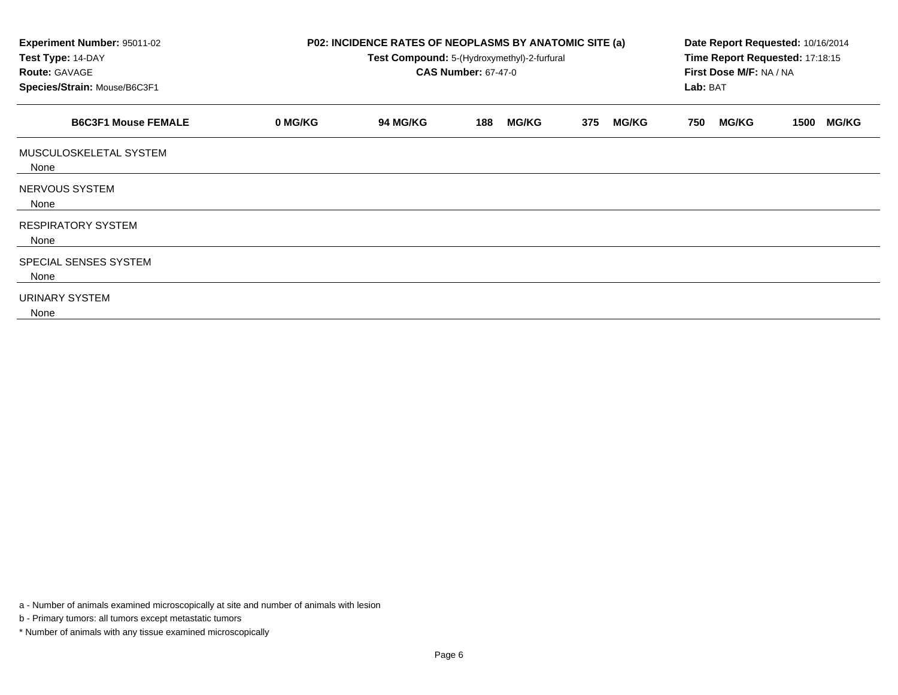| Experiment Number: 95011-02<br>Test Type: 14-DAY<br><b>Route: GAVAGE</b><br>Species/Strain: Mouse/B6C3F1 |         | P02: INCIDENCE RATES OF NEOPLASMS BY ANATOMIC SITE (a)<br>Test Compound: 5-(Hydroxymethyl)-2-furfural<br><b>CAS Number: 67-47-0</b> | Date Report Requested: 10/16/2014<br>Time Report Requested: 17:18:15<br>First Dose M/F: NA / NA<br>Lab: BAT |                     |                     |                      |
|----------------------------------------------------------------------------------------------------------|---------|-------------------------------------------------------------------------------------------------------------------------------------|-------------------------------------------------------------------------------------------------------------|---------------------|---------------------|----------------------|
| <b>B6C3F1 Mouse FEMALE</b>                                                                               | 0 MG/KG | <b>94 MG/KG</b>                                                                                                                     | <b>MG/KG</b><br>188                                                                                         | 375<br><b>MG/KG</b> | <b>MG/KG</b><br>750 | <b>MG/KG</b><br>1500 |
| MUSCULOSKELETAL SYSTEM<br>None                                                                           |         |                                                                                                                                     |                                                                                                             |                     |                     |                      |
| <b>NERVOUS SYSTEM</b><br>None                                                                            |         |                                                                                                                                     |                                                                                                             |                     |                     |                      |
| <b>RESPIRATORY SYSTEM</b><br>None                                                                        |         |                                                                                                                                     |                                                                                                             |                     |                     |                      |
| SPECIAL SENSES SYSTEM<br>None                                                                            |         |                                                                                                                                     |                                                                                                             |                     |                     |                      |
| URINARY SYSTEM<br>None                                                                                   |         |                                                                                                                                     |                                                                                                             |                     |                     |                      |

a - Number of animals examined microscopically at site and number of animals with lesion

b - Primary tumors: all tumors except metastatic tumors